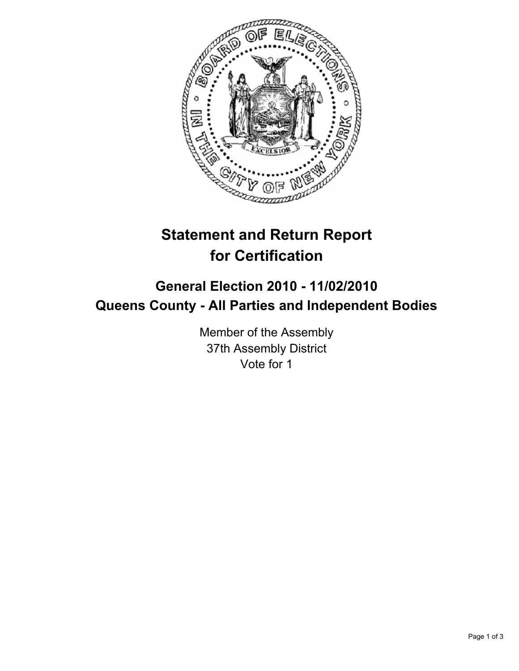

## **Statement and Return Report for Certification**

## **General Election 2010 - 11/02/2010 Queens County - All Parties and Independent Bodies**

Member of the Assembly 37th Assembly District Vote for 1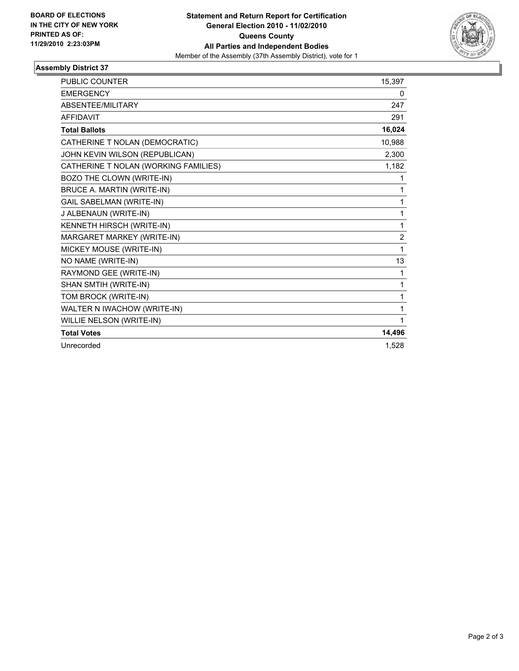

## **Assembly District 37**

| <b>PUBLIC COUNTER</b>                | 15,397         |
|--------------------------------------|----------------|
| <b>EMERGENCY</b>                     | 0              |
| ABSENTEE/MILITARY                    | 247            |
| <b>AFFIDAVIT</b>                     | 291            |
| <b>Total Ballots</b>                 | 16,024         |
| CATHERINE T NOLAN (DEMOCRATIC)       | 10,988         |
| JOHN KEVIN WILSON (REPUBLICAN)       | 2,300          |
| CATHERINE T NOLAN (WORKING FAMILIES) | 1,182          |
| BOZO THE CLOWN (WRITE-IN)            | 1              |
| <b>BRUCE A. MARTIN (WRITE-IN)</b>    | 1              |
| <b>GAIL SABELMAN (WRITE-IN)</b>      | 1              |
| J ALBENAUN (WRITE-IN)                | 1              |
| KENNETH HIRSCH (WRITE-IN)            | 1              |
| MARGARET MARKEY (WRITE-IN)           | $\overline{2}$ |
| MICKEY MOUSE (WRITE-IN)              | 1              |
| NO NAME (WRITE-IN)                   | 13             |
| RAYMOND GEE (WRITE-IN)               | 1              |
| SHAN SMTIH (WRITE-IN)                | 1              |
| TOM BROCK (WRITE-IN)                 | 1              |
| WALTER N IWACHOW (WRITE-IN)          | 1              |
| WILLIE NELSON (WRITE-IN)             | 1              |
| <b>Total Votes</b>                   | 14,496         |
| Unrecorded                           | 1,528          |